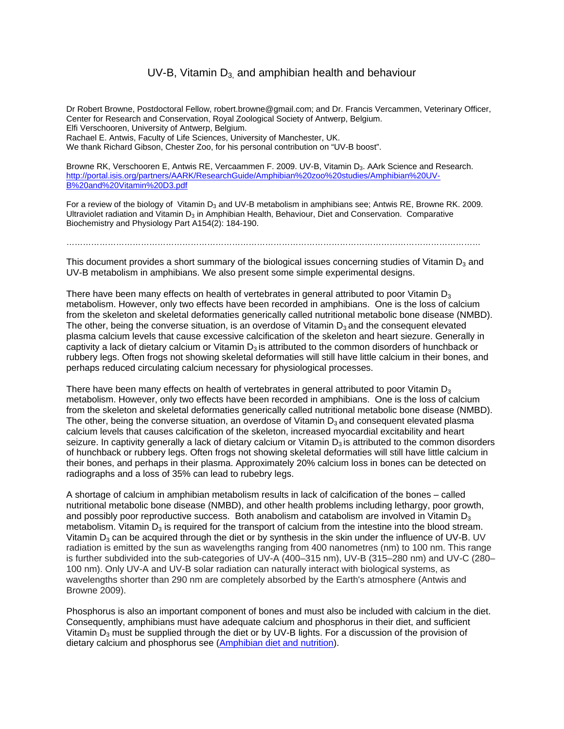## UV-B, Vitamin  $D_3$  and amphibian health and behaviour

Dr Robert Browne, Postdoctoral Fellow, robert.browne@gmail.com; and Dr. Francis Vercammen, Veterinary Officer, Center for Research and Conservation, Royal Zoological Society of Antwerp, Belgium. Elfi Verschooren, University of Antwerp, Belgium. Rachael E. Antwis, Faculty of Life Sciences, University of Manchester, UK. We thank Richard Gibson, Chester Zoo, for his personal contribution on "UV-B boost".

Browne RK, Verschooren E, Antwis RE, Vercaammen F. 2009. UV-B, Vitamin D<sub>3</sub>. AArk Science and Research. http://portal.isis.org/partners/AARK/ResearchGuide/Amphibian%20zoo%20studies/Amphibian%20UV-B%20and%20Vitamin%20D3.pdf

For a review of the biology of Vitamin D<sub>3</sub> and UV-B metabolism in amphibians see: Antwis RE, Browne RK, 2009. Ultraviolet radiation and Vitamin  $D_3$  in Amphibian Health, Behaviour, Diet and Conservation. Comparative Biochemistry and Physiology Part A154(2): 184-190.

……………………………………………………………………………………………………………………………………

This document provides a short summary of the biological issues concerning studies of Vitamin  $D_3$  and UV-B metabolism in amphibians. We also present some simple experimental designs.

There have been many effects on health of vertebrates in general attributed to poor Vitamin  $D_3$ metabolism. However, only two effects have been recorded in amphibians. One is the loss of calcium from the skeleton and skeletal deformaties generically called nutritional metabolic bone disease (NMBD). The other, being the converse situation, is an overdose of Vitamin  $D_3$  and the consequent elevated plasma calcium levels that cause excessive calcification of the skeleton and heart siezure. Generally in captivity a lack of dietary calcium or Vitamin  $D_3$  is attributed to the common disorders of hunchback or rubbery legs. Often frogs not showing skeletal deformaties will still have little calcium in their bones, and perhaps reduced circulating calcium necessary for physiological processes.

There have been many effects on health of vertebrates in general attributed to poor Vitamin  $D_3$ metabolism. However, only two effects have been recorded in amphibians. One is the loss of calcium from the skeleton and skeletal deformaties generically called nutritional metabolic bone disease (NMBD). The other, being the converse situation, an overdose of Vitamin  $D<sub>3</sub>$  and consequent elevated plasma calcium levels that causes calcification of the skeleton, increased myocardial excitability and heart seizure. In captivity generally a lack of dietary calcium or Vitamin  $D_3$  is attributed to the common disorders of hunchback or rubbery legs. Often frogs not showing skeletal deformaties will still have little calcium in their bones, and perhaps in their plasma. Approximately 20% calcium loss in bones can be detected on radiographs and a loss of 35% can lead to rubebry legs.

A shortage of calcium in amphibian metabolism results in lack of calcification of the bones – called nutritional metabolic bone disease (NMBD), and other health problems including lethargy, poor growth, and possibly poor reproductive success. Both anabolism and catabolism are involved in Vitamin  $D_3$ metabolism. Vitamin  $D_3$  is required for the transport of calcium from the intestine into the blood stream. Vitamin  $D_3$  can be acquired through the diet or by synthesis in the skin under the influence of UV-B. UV radiation is emitted by the sun as wavelengths ranging from 400 nanometres (nm) to 100 nm. This range is further subdivided into the sub-categories of UV-A (400–315 nm), UV-B (315–280 nm) and UV-C (280– 100 nm). Only UV-A and UV-B solar radiation can naturally interact with biological systems, as wavelengths shorter than 290 nm are completely absorbed by the Earth's atmosphere (Antwis and Browne 2009).

Phosphorus is also an important component of bones and must also be included with calcium in the diet. Consequently, amphibians must have adequate calcium and phosphorus in their diet, and sufficient Vitamin  $D_3$  must be supplied through the diet or by UV-B lights. For a discussion of the provision of dietary calcium and phosphorus see (Amphibian diet and nutrition).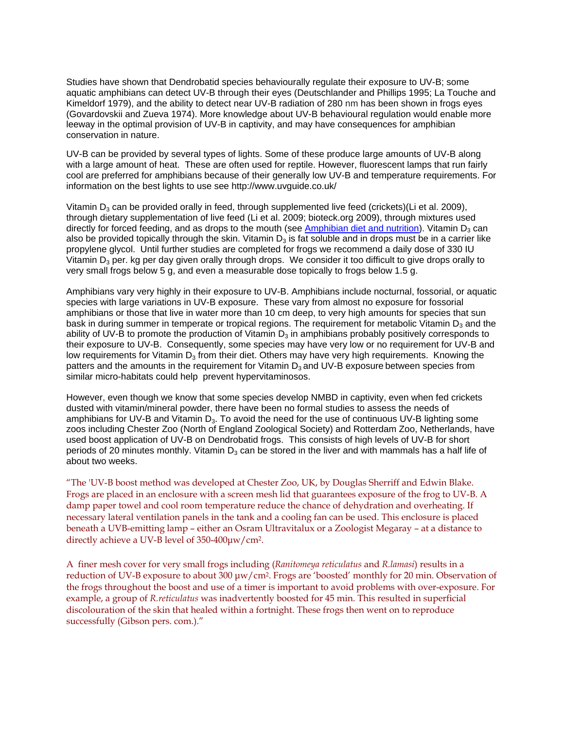Studies have shown that Dendrobatid species behaviourally regulate their exposure to UV-B; some aquatic amphibians can detect UV-B through their eyes (Deutschlander and Phillips 1995; La Touche and Kimeldorf 1979), and the ability to detect near UV-B radiation of 280 nm has been shown in frogs eyes (Govardovskii and Zueva 1974). More knowledge about UV-B behavioural regulation would enable more leeway in the optimal provision of UV-B in captivity, and may have consequences for amphibian conservation in nature.

UV-B can be provided by several types of lights. Some of these produce large amounts of UV-B along with a large amount of heat. These are often used for reptile. However, fluorescent lamps that run fairly cool are preferred for amphibians because of their generally low UV-B and temperature requirements. For information on the best lights to use see http://www.uvguide.co.uk/

Vitamin  $D_3$  can be provided orally in feed, through supplemented live feed (crickets)(Li et al. 2009), through dietary supplementation of live feed (Li et al. 2009; bioteck.org 2009), through mixtures used directly for forced feeding, and as drops to the mouth (see  $Amphibian$  diet and nutrition). Vitamin  $D_3$  can also be provided topically through the skin. Vitamin  $D_3$  is fat soluble and in drops must be in a carrier like propylene glycol. Until further studies are completed for frogs we recommend a daily dose of 330 IU Vitamin  $D_3$  per. kg per day given orally through drops. We consider it too difficult to give drops orally to very small frogs below 5 g, and even a measurable dose topically to frogs below 1.5 g.

Amphibians vary very highly in their exposure to UV-B. Amphibians include nocturnal, fossorial, or aquatic species with large variations in UV-B exposure. These vary from almost no exposure for fossorial amphibians or those that live in water more than 10 cm deep, to very high amounts for species that sun bask in during summer in temperate or tropical regions. The requirement for metabolic Vitamin D<sub>3</sub> and the ability of UV-B to promote the production of Vitamin  $D_3$  in amphibians probably positively corresponds to their exposure to UV-B. Consequently, some species may have very low or no requirement for UV-B and low requirements for Vitamin  $D_3$  from their diet. Others may have very high requirements. Knowing the patters and the amounts in the requirement for Vitamin  $D_3$  and UV-B exposure between species from similar micro-habitats could help prevent hypervitaminosos.

However, even though we know that some species develop NMBD in captivity, even when fed crickets dusted with vitamin/mineral powder, there have been no formal studies to assess the needs of amphibians for UV-B and Vitamin  $D_3$ . To avoid the need for the use of continuous UV-B lighting some zoos including Chester Zoo (North of England Zoological Society) and Rotterdam Zoo, Netherlands, have used boost application of UV-B on Dendrobatid frogs. This consists of high levels of UV-B for short periods of 20 minutes monthly. Vitamin  $D_3$  can be stored in the liver and with mammals has a half life of about two weeks.

"The 'UV-B boost method was developed at Chester Zoo, UK, by Douglas Sherriff and Edwin Blake. Frogs are placed in an enclosure with a screen mesh lid that guarantees exposure of the frog to UV-B. A damp paper towel and cool room temperature reduce the chance of dehydration and overheating. If necessary lateral ventilation panels in the tank and a cooling fan can be used. This enclosure is placed beneath a UVB-emitting lamp – either an Osram Ultravitalux or a Zoologist Megaray – at a distance to directly achieve a UV-B level of 350-400μw/cm2.

A finer mesh cover for very small frogs including (*Ranitomeya reticulatus* and *R.lamasi*) results in a reduction of UV-B exposure to about 300 μw/cm2. Frogs are 'boosted' monthly for 20 min. Observation of the frogs throughout the boost and use of a timer is important to avoid problems with over-exposure. For example, a group of *R.reticulatus* was inadvertently boosted for 45 min. This resulted in superficial discolouration of the skin that healed within a fortnight. These frogs then went on to reproduce successfully (Gibson pers. com.)."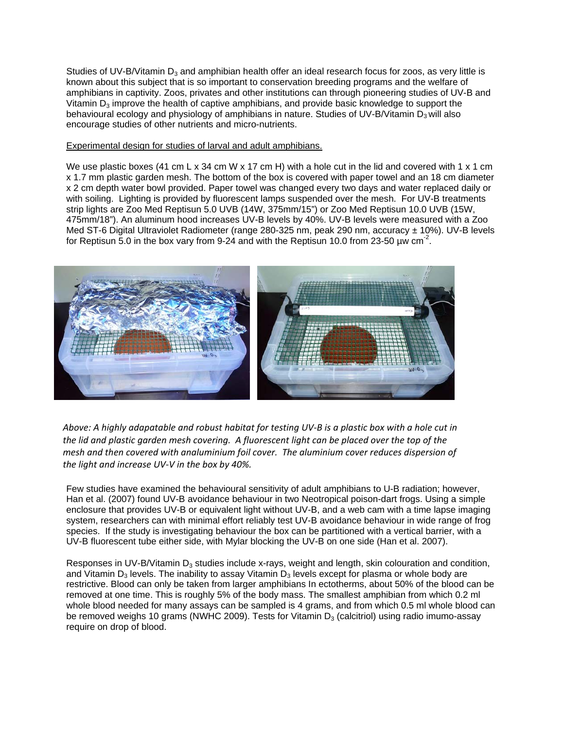Studies of UV-B/Vitamin  $D_3$  and amphibian health offer an ideal research focus for zoos, as very little is known about this subject that is so important to conservation breeding programs and the welfare of amphibians in captivity. Zoos, privates and other institutions can through pioneering studies of UV-B and Vitamin  $D_3$  improve the health of captive amphibians, and provide basic knowledge to support the behavioural ecology and physiology of amphibians in nature. Studies of UV-B/Vitamin  $D_3$  will also encourage studies of other nutrients and micro-nutrients.

## Experimental design for studies of larval and adult amphibians.

We use plastic boxes (41 cm L x 34 cm W x 17 cm H) with a hole cut in the lid and covered with 1 x 1 cm x 1.7 mm plastic garden mesh. The bottom of the box is covered with paper towel and an 18 cm diameter x 2 cm depth water bowl provided. Paper towel was changed every two days and water replaced daily or with soiling. Lighting is provided by fluorescent lamps suspended over the mesh. For UV-B treatments strip lights are Zoo Med Reptisun 5.0 UVB (14W, 375mm/15") or Zoo Med Reptisun 10.0 UVB (15W, 475mm/18"). An aluminum hood increases UV-B levels by 40%. UV-B levels were measured with a Zoo Med ST-6 Digital Ultraviolet Radiometer (range 280-325 nm, peak 290 nm, accuracy ± 10%). UV-B levels for Reptisun 5.0 in the box vary from 9-24 and with the Reptisun 10.0 from 23-50 µw cm<sup>-2</sup>.



Above: A highly adapatable and robust habitat for testing UV-B is a plastic box with a hole cut in the lid and plastic garden mesh covering. A fluorescent light can be placed over the top of the *mesh and then covered with analuminium foil cover. The aluminium cover reduces dispersion of the light and increase UV‐V in the box by 40%.* 

Few studies have examined the behavioural sensitivity of adult amphibians to U-B radiation; however, Han et al. (2007) found UV-B avoidance behaviour in two Neotropical poison-dart frogs. Using a simple enclosure that provides UV-B or equivalent light without UV-B, and a web cam with a time lapse imaging system, researchers can with minimal effort reliably test UV-B avoidance behaviour in wide range of frog species. If the study is investigating behaviour the box can be partitioned with a vertical barrier, with a UV-B fluorescent tube either side, with Mylar blocking the UV-B on one side (Han et al. 2007).

Responses in UV-B/Vitamin  $D_3$  studies include x-rays, weight and length, skin colouration and condition, and Vitamin D<sub>3</sub> levels. The inability to assay Vitamin D<sub>3</sub> levels except for plasma or whole body are restrictive. Blood can only be taken from larger amphibians In ectotherms, about 50% of the blood can be removed at one time. This is roughly 5% of the body mass. The smallest amphibian from which 0.2 ml whole blood needed for many assays can be sampled is 4 grams, and from which 0.5 ml whole blood can be removed weighs 10 grams (NWHC 2009). Tests for Vitamin  $D_3$  (calcitriol) using radio imumo-assay require on drop of blood.